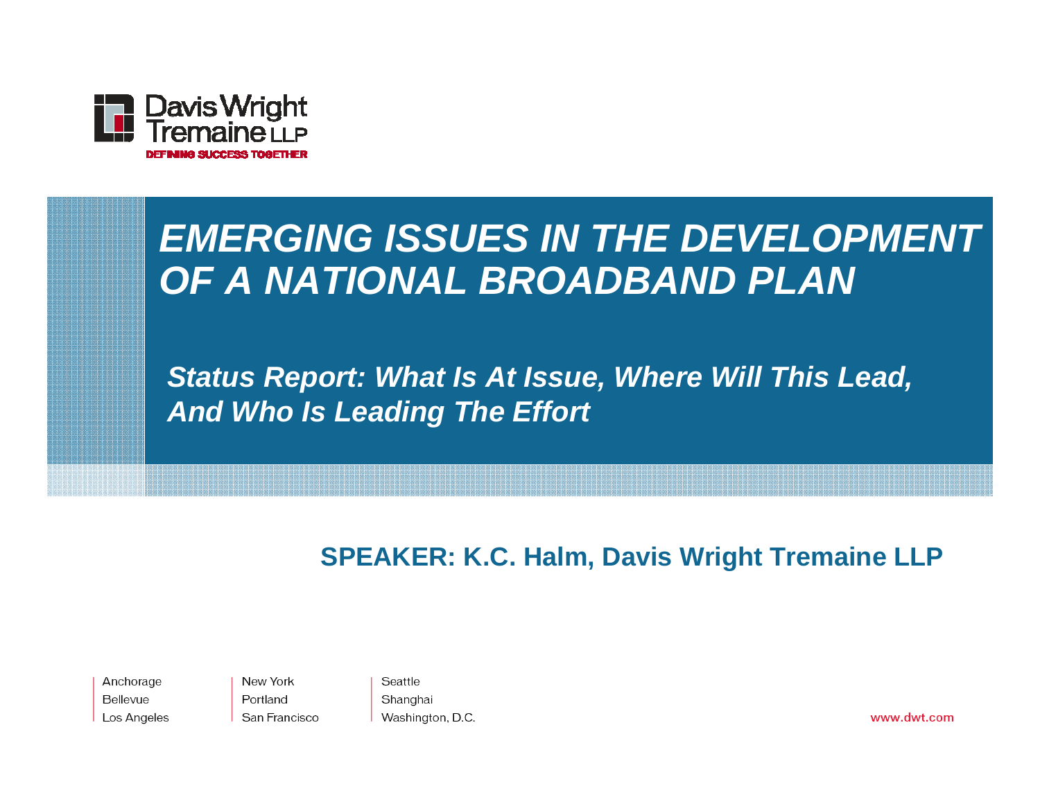

#### *EMERGING ISSUES IN THE DEVELOPMENT OF A NATIONAL BROADBAND PLAN*

*Status Report: What Is At Issue, Where Will This Lead, And Who Is Leading The Effort*

#### **SPEAKER: K.C. Halm, Davis Wright Tremaine LLP**

Anchorage Bellevue Los Angeles New York Portland San Francisco

Seattle Shanghai Washington, D.C.

www.dwt.com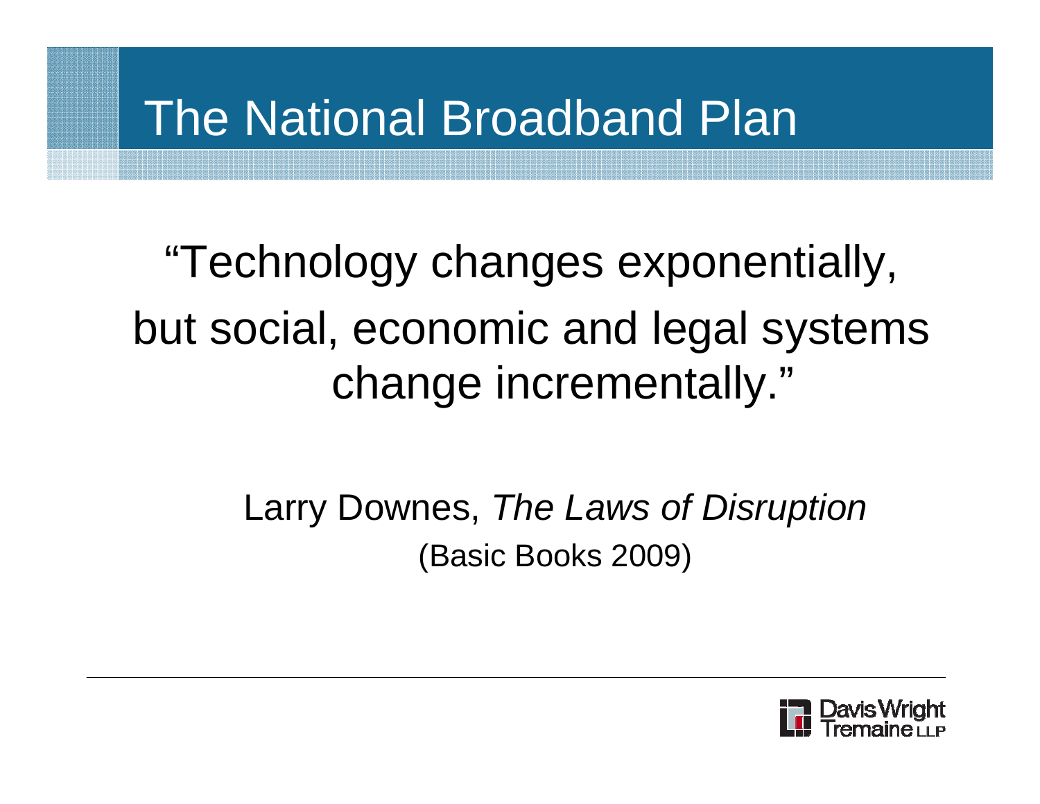#### The National Broadband Plan

"Technology changes exponentially, but social, economic and legal systems change incrementally."

> Larry Downes, *The Laws of Disruption* (Basic Books 2009)

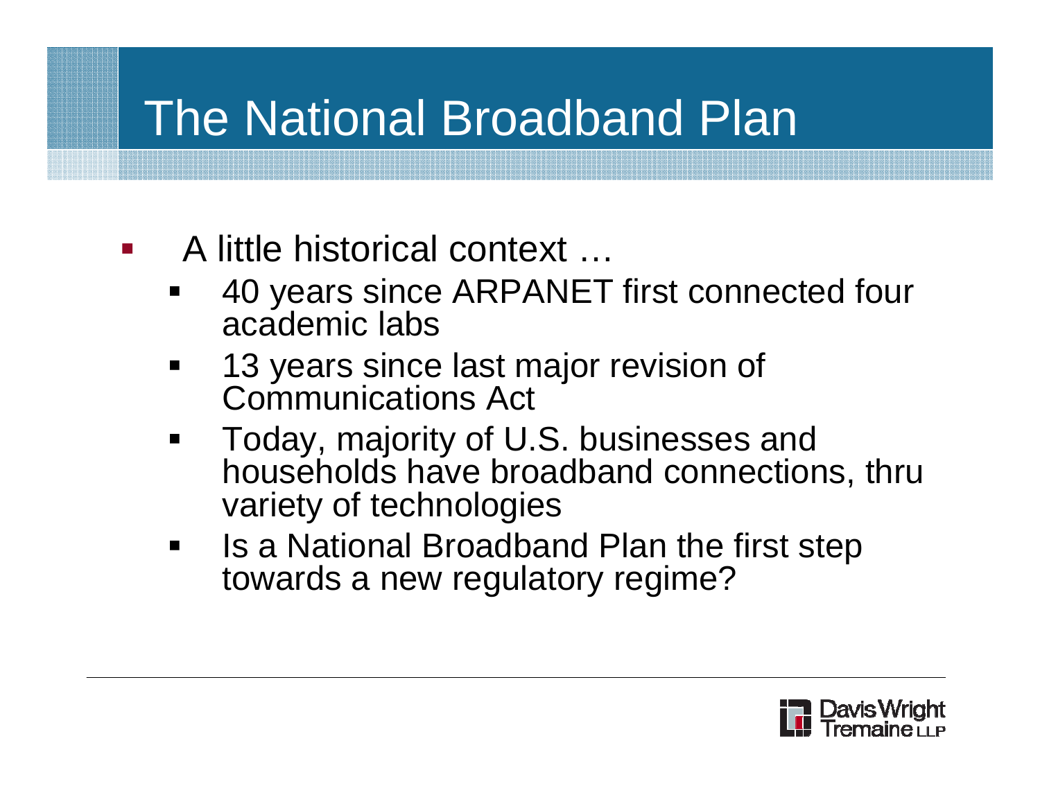# The National Broadband Plan

- A little historical context …
	- П 40 years since ARPANET first connected four academic labs
	- $\blacksquare$  13 years since last major revision of Communications Act
	- $\blacksquare$  Today, majority of U.S. businesses and households have broadband connections, thru variety of technologies
	- $\blacksquare$  Is a National Broadband Plan the first step towards a new regulatory regime?

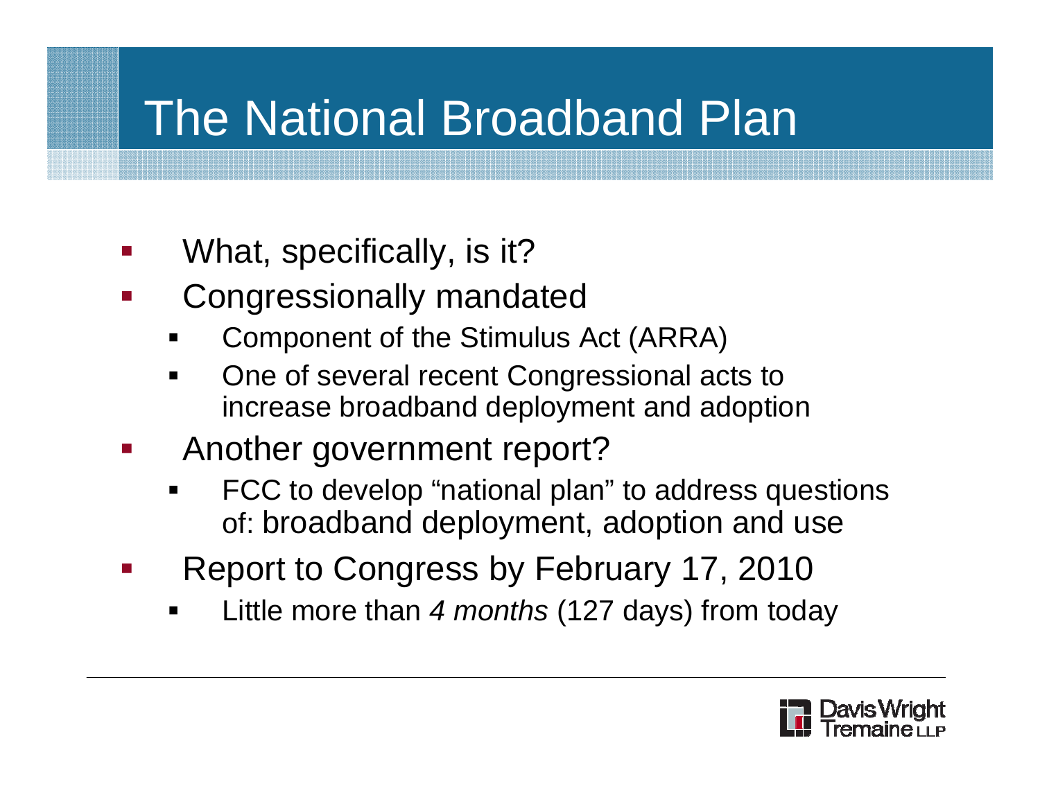# The National Broadband Plan

- $\mathcal{L}_{\mathcal{A}}$ What, specifically, is it?
- $\mathcal{L}_{\mathcal{A}}$  Congressionally mandated
	- ٠ Component of the Stimulus Act (ARRA)
	- One of several recent Congressional acts to increase broadband deployment and adoption
- $\mathbb{R}^2$  Another government report?
	- ٠ FCC to develop "national plan" to address questions of: broadband deployment, adoption and use
- $\mathbb{R}^2$  Report to Congress by February 17, 2010
	- ٠ Little more than *4 months* (127 days) from today

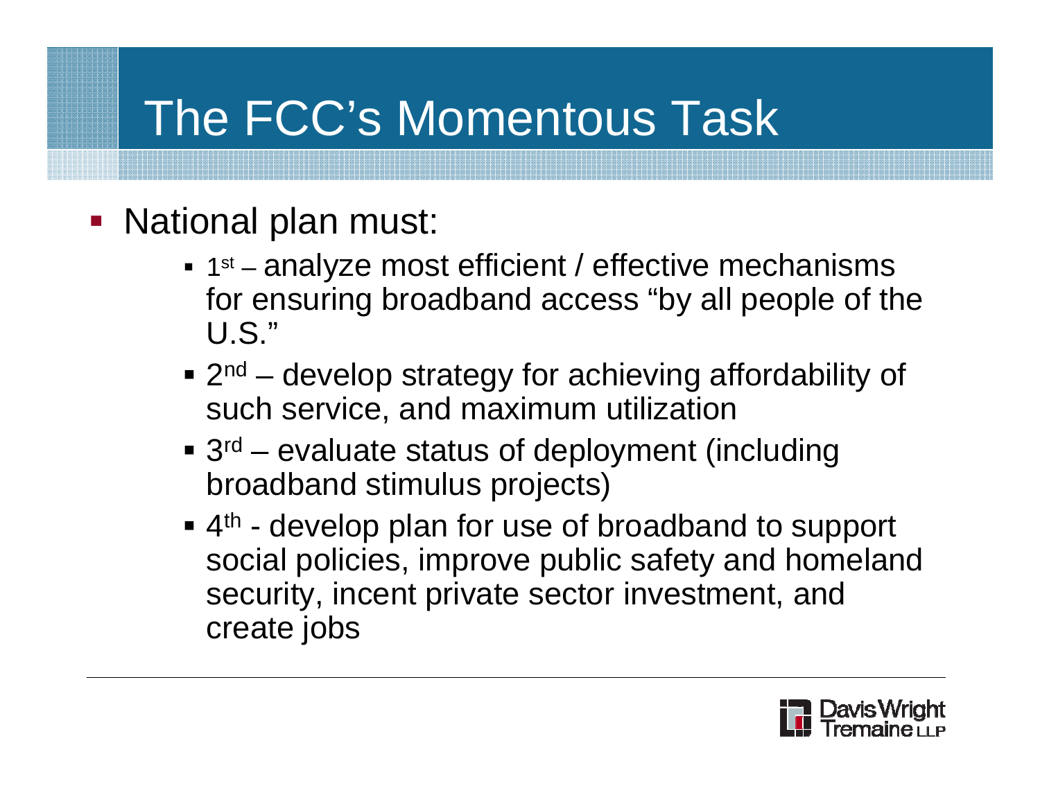# The FCC's Momentous Task

- National plan must:
	- $-1$ st  $$  analyze most efficient / effective mechanisms for ensuring broadband access "by all people of the U.S."
	- $\blacksquare$  2<sup>nd</sup> develop strategy for achieving affordability of such service, and maximum utilization
	- 3<sup>rd</sup> evaluate status of deployment (including broadband stimulus projects)
	- $\blacksquare$  4<sup>th</sup> develop plan for use of broadband to support social policies, improve public safety and homeland security, incent private sector investment, and create jobs

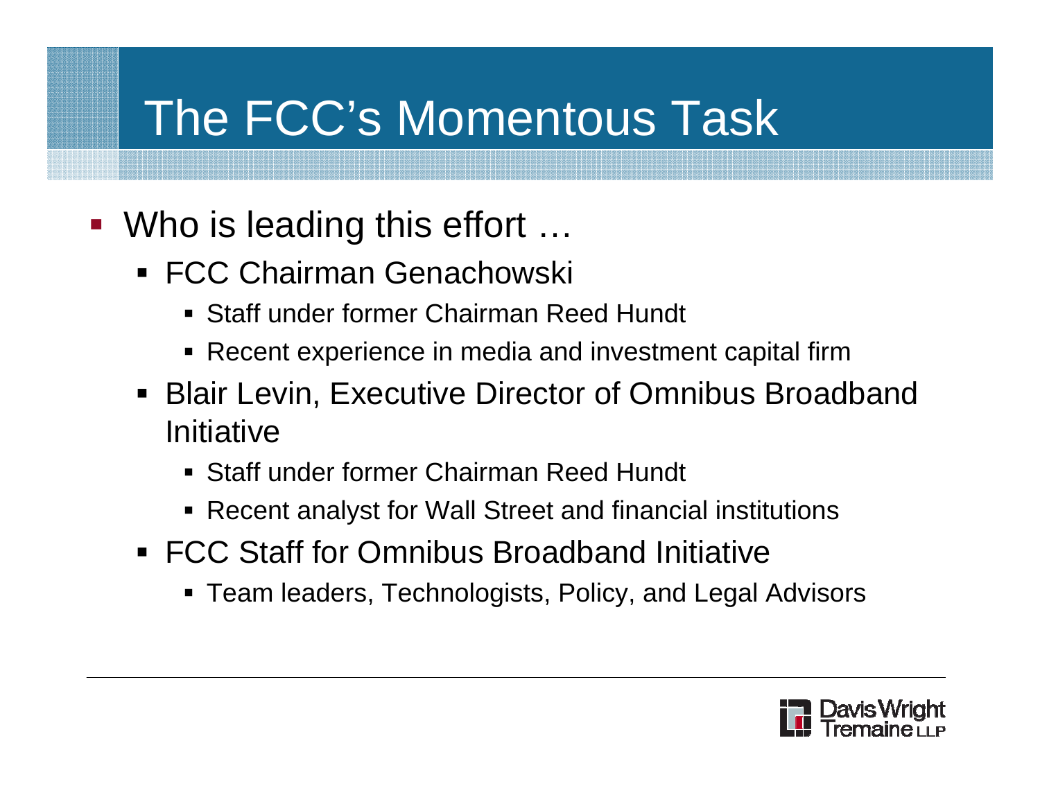# The FCC's Momentous Task

- Who is leading this effort ...
	- FCC Chairman Genachowski
		- Staff under former Chairman Reed Hundt
		- Recent experience in media and investment capital firm
	- Blair Levin, Executive Director of Omnibus Broadband **Initiative** 
		- Staff under former Chairman Reed Hundt
		- Recent analyst for Wall Street and financial institutions
	- FCC Staff for Omnibus Broadband Initiative
		- Team leaders, Technologists, Policy, and Legal Advisors

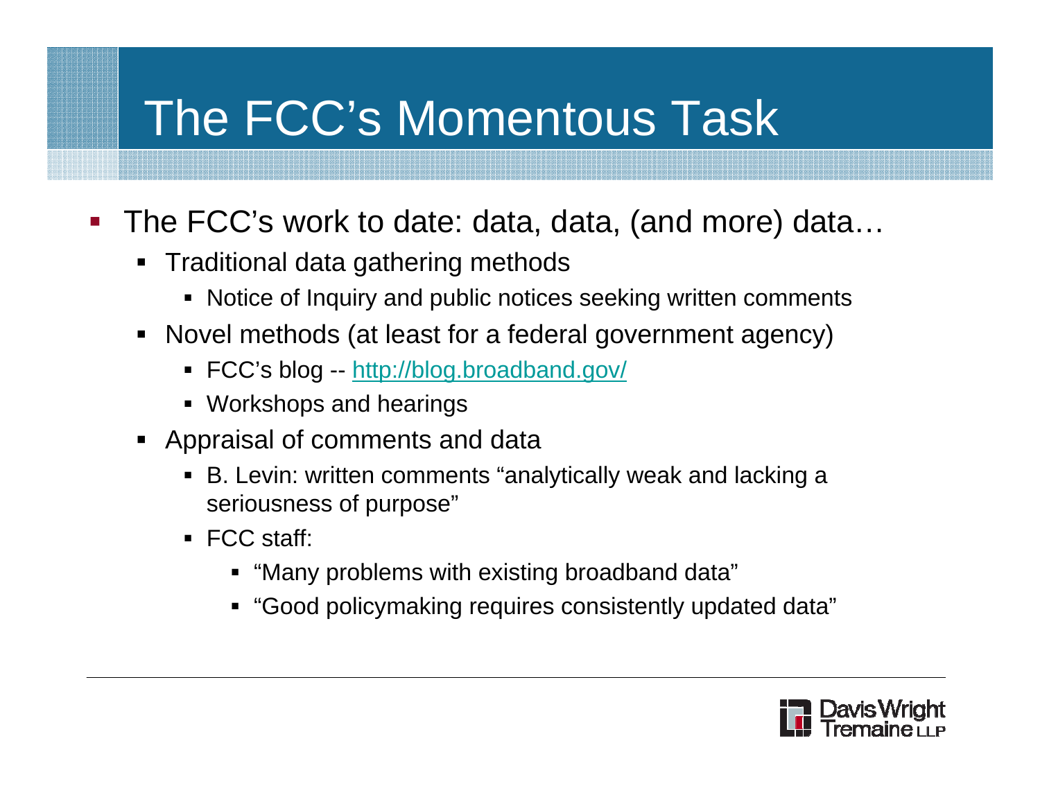# The FCC's Momentous Task

- The FCC's work to date: data, data, (and more) data...
	- Traditional data gathering methods
		- Notice of Inquiry and public notices seeking written comments
	- Novel methods (at least for a federal government agency)
		- FCC's blog -- <u>http://blog.broadband.gov/</u>
		- Workshops and hearings
	- Appraisal of comments and data
		- B. Levin: written comments "analytically weak and lacking a seriousness of purpose"
		- FCC staff:
			- "Many problems with existing broadband data"
			- "Good policymaking requires consistently updated data"

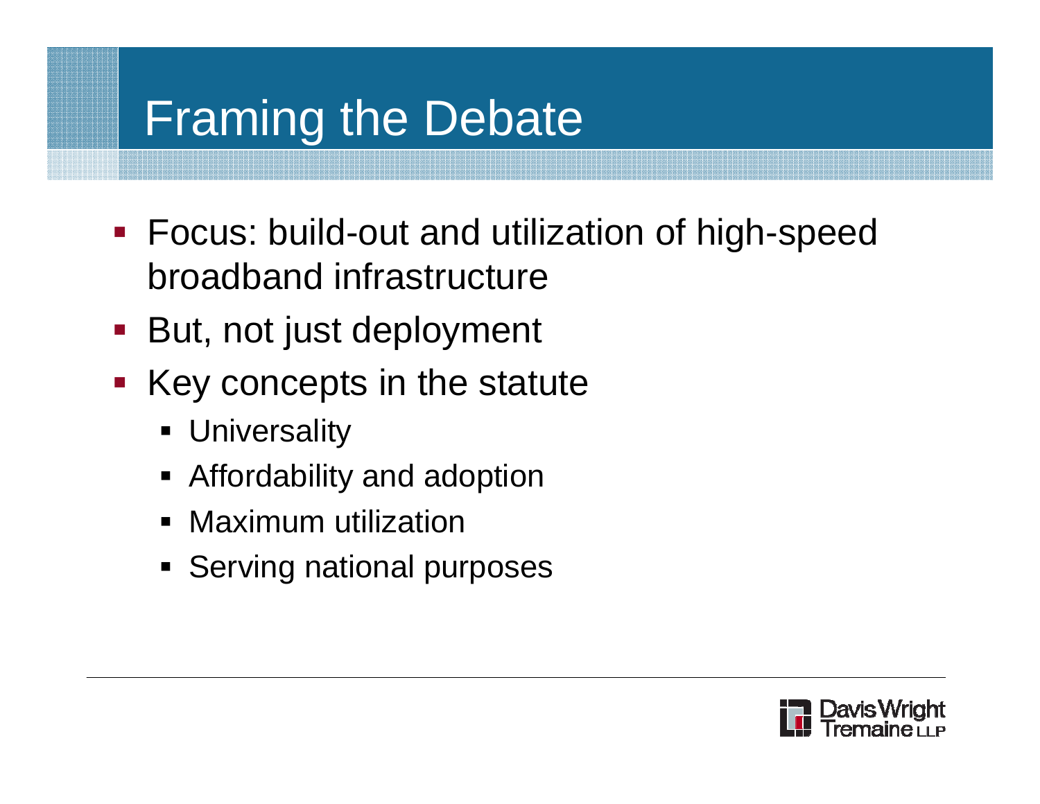- **Focus: build-out and utilization of high-speed** broadband infrastructure
- But, not just deployment
- **Key concepts in the statute** 
	- **Dianager 19 The Universality**
	- Affordability and adoption
	- **Maximum utilization**
	- **Serving national purposes**

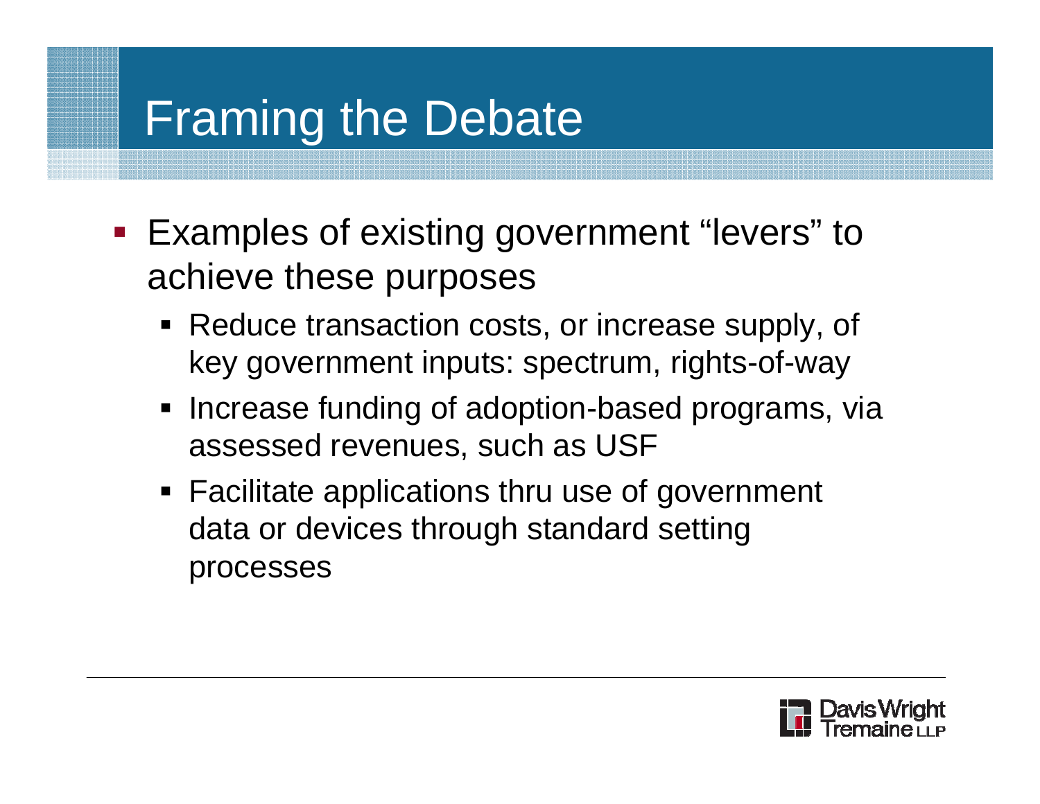- **Examples of existing government "levers" to** achieve these purposes
	- Reduce transaction costs, or increase supply, of key government inputs: spectrum, rights-of-way
	- **Increase funding of adoption-based programs, via** assessed revenues, such as USF
	- Facilitate applications thru use of government data or devices through standard setting processes

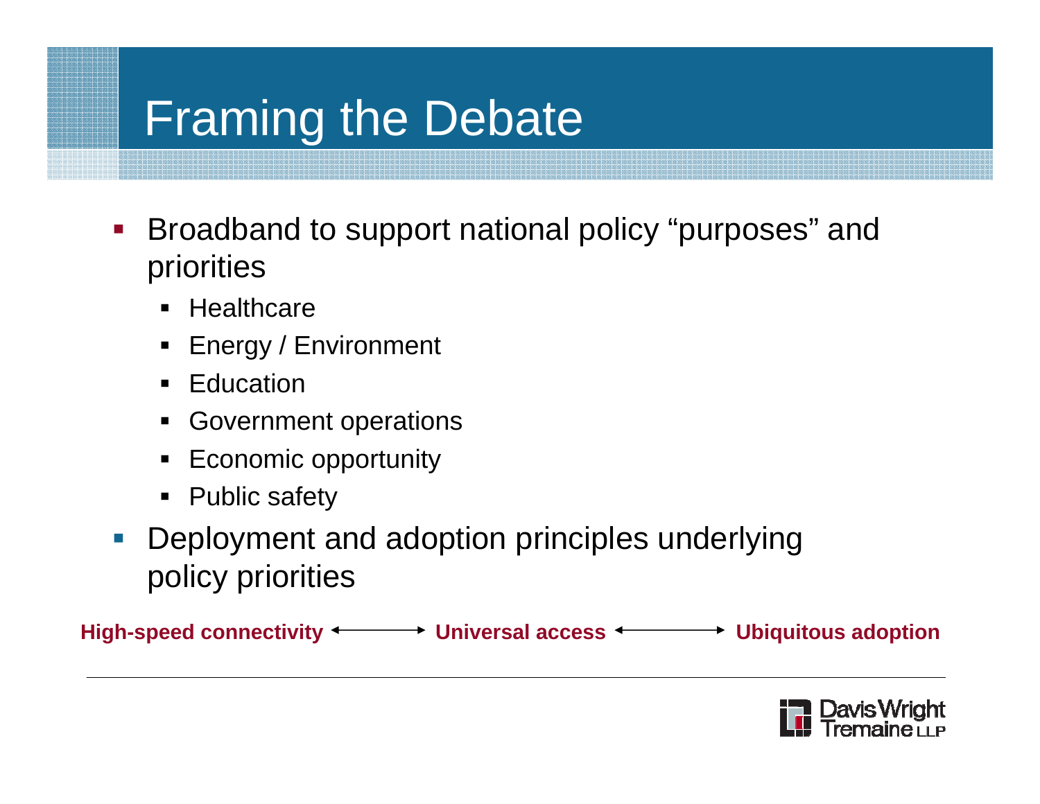- $\mathcal{L}_{\mathcal{A}}$  Broadband to support national policy "purposes" and priorities
	- Healthcare
	- Energy / Environment
	- **Education** •
	- **Government operations**
	- $\overline{\phantom{a}}$  Economic opportunity
	- Public safety
- $\mathcal{L}_{\mathcal{A}}$  Deployment and adoption principles underlying policy priorities

**High-speed connectivity Universal access Ubiquitous adoption**

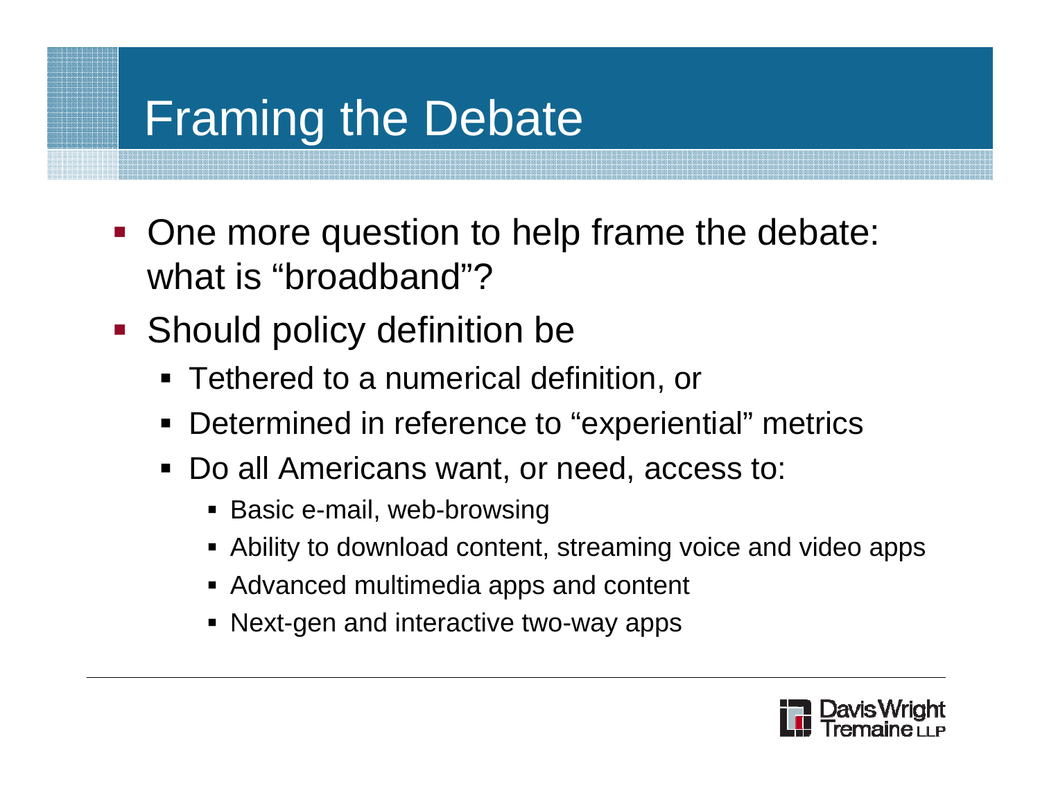- One more question to help frame the debate: what is "broadband"?
- **Should policy definition be** 
	- Tethered to a numerical definition, or
	- $\blacksquare$ Determined in reference to "experiential" metrics
	- Do all Americans want, or need, access to:
		- Basic e-mail, web-browsing
		- Ability to download content, streaming voice and video apps
		- Advanced multimedia apps and content
		- Next-gen and interactive two-way apps

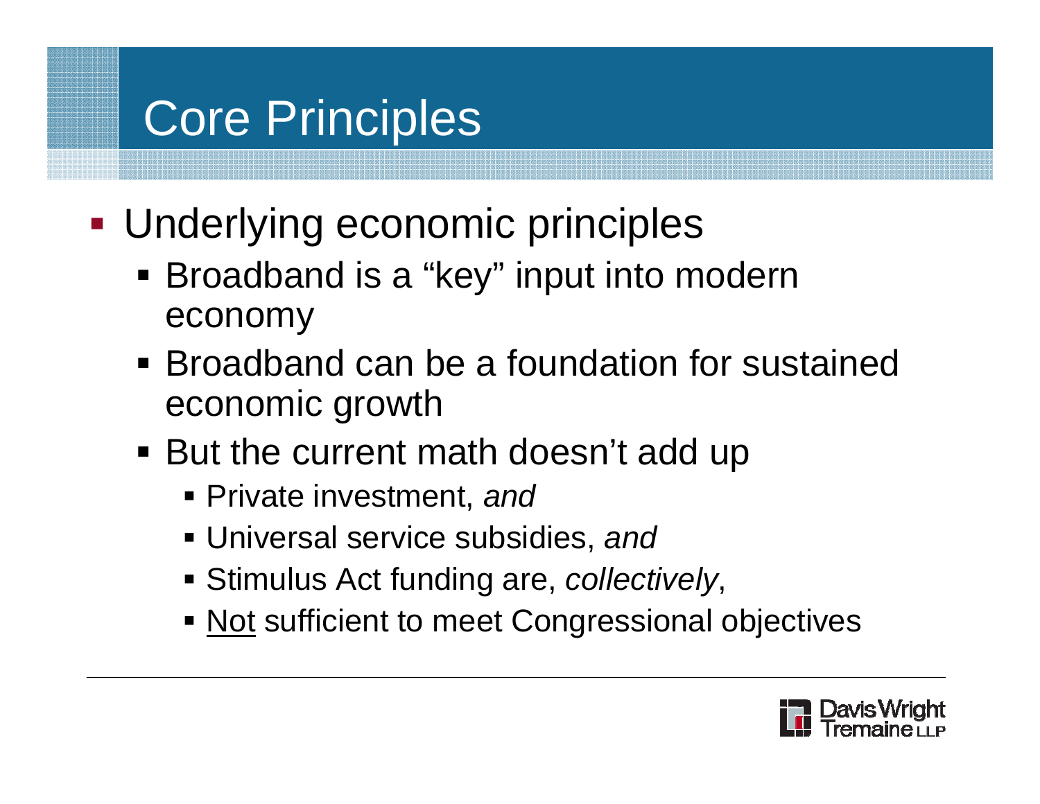- Underlying economic principles
	- Broadband is a "key" input into modern economy
	- **Broadband can be a foundation for sustained** economic growth
	- But the current math doesn't add up
		- Private investment, *and*
		- Universal service subsidies, *and*
		- Stimulus Act funding are, *collectively*,
		- **Not sufficient to meet Congressional objectives**

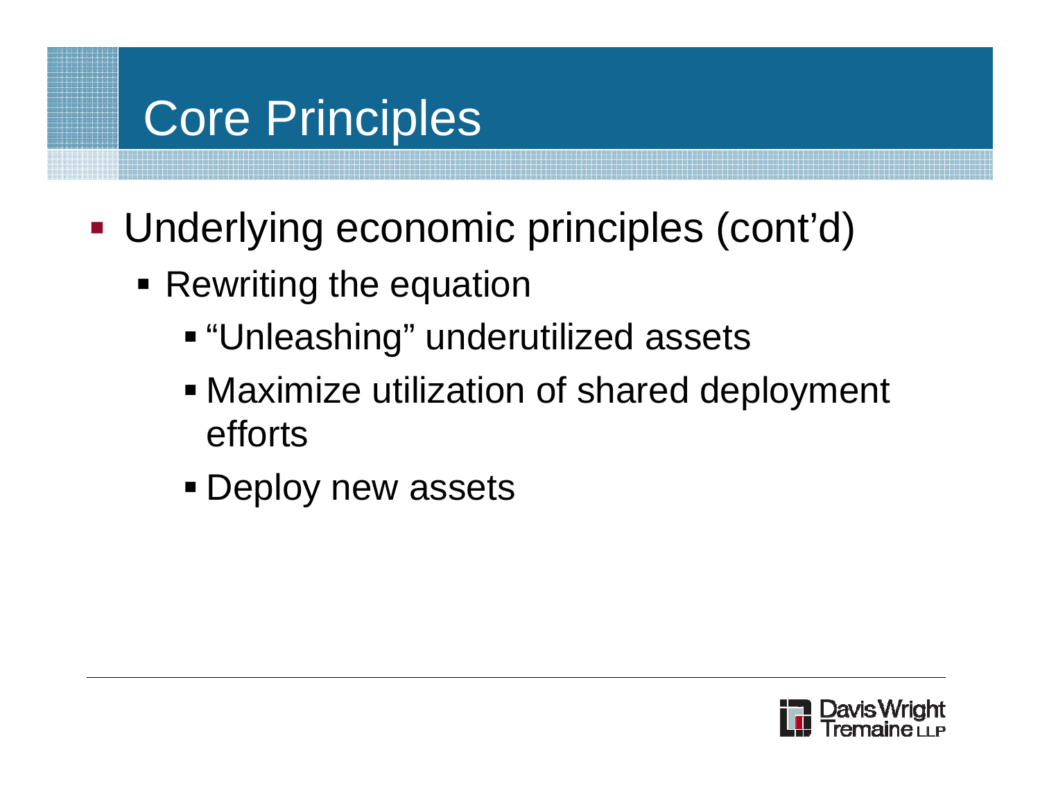- Underlying economic principles (cont'd)
	- **Rewriting the equation** 
		- "Unleashing" underutilized assets
		- Maximize utilization of shared deployment efforts
		- **Deploy new assets**

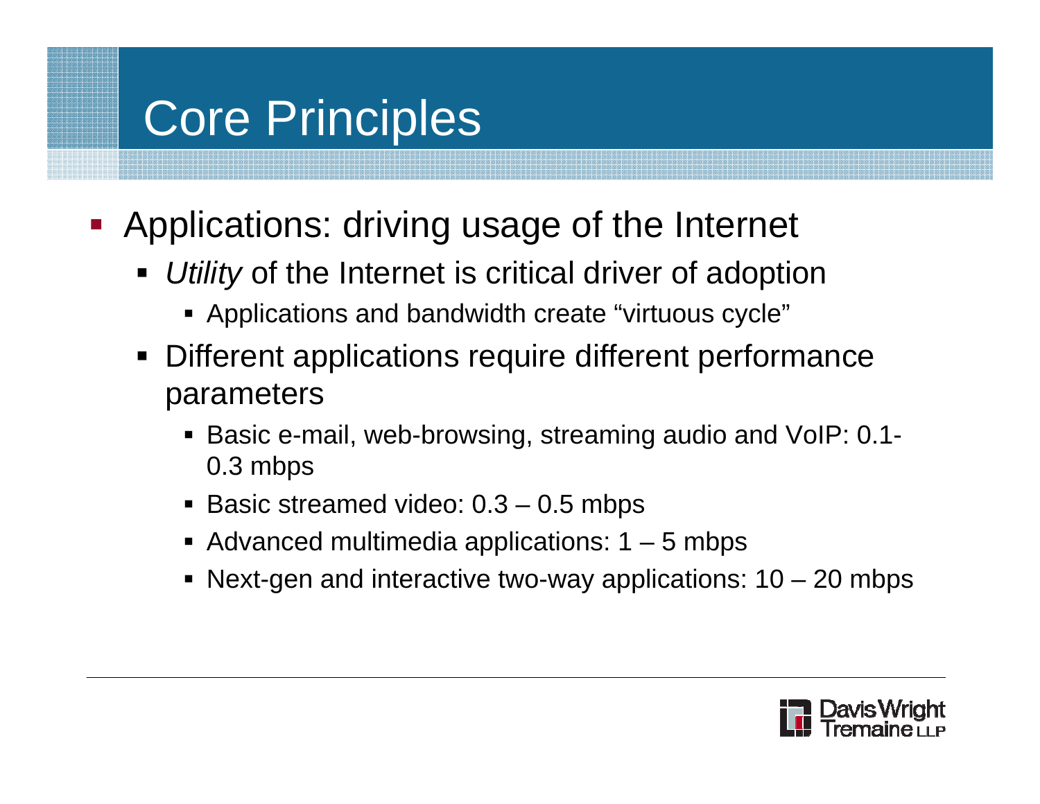- **-** Applications: driving usage of the Internet
	- **Utility** of the Internet is critical driver of adoption
		- Applications and bandwidth create "virtuous cycle"
	- ٠ Different applications require different performance parameters
		- Basic e-mail, web-browsing, streaming audio and VoIP: 0.1- 0.3 mbps
		- Basic streamed video: 0.3 0.5 mbps
		- Advanced multimedia applications: 1 5 mbps
		- Next-gen and interactive two-way applications: 10 20 mbps

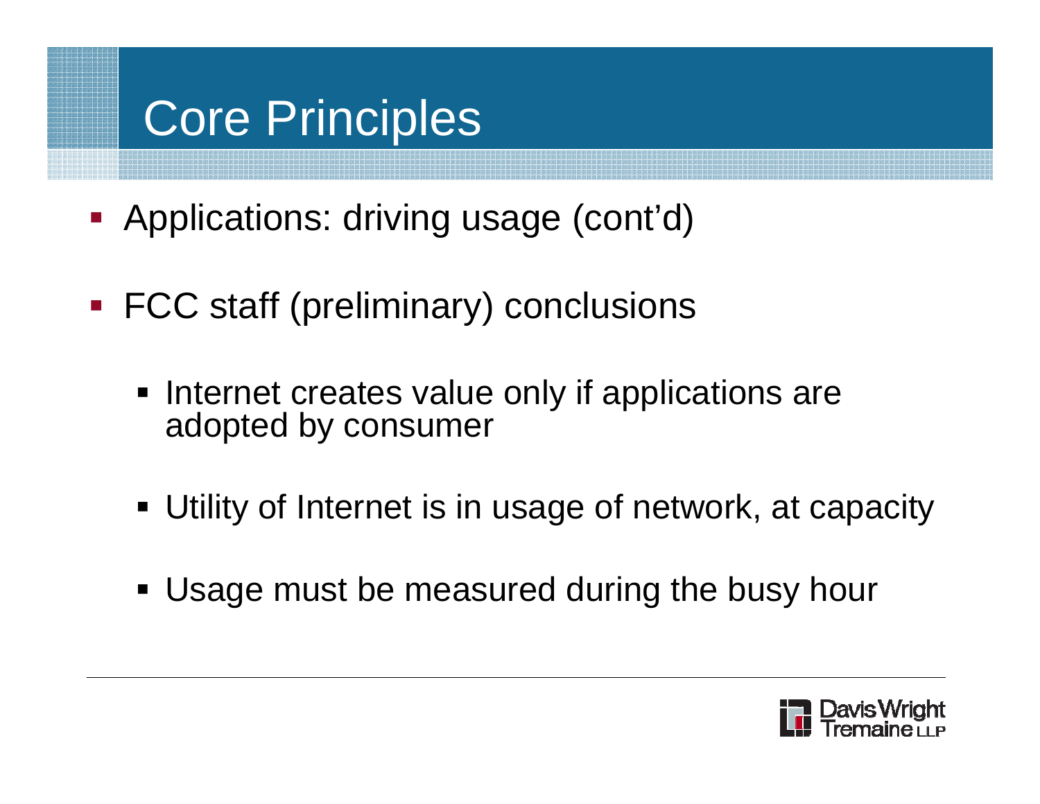- **-** Applications: driving usage (cont'd)
- **FCC staff (preliminary) conclusions** 
	- **Internet creates value only if applications are** adopted by consumer
	- Utility of Internet is in usage of network, at capacity
	- Usage must be measured during the busy hour

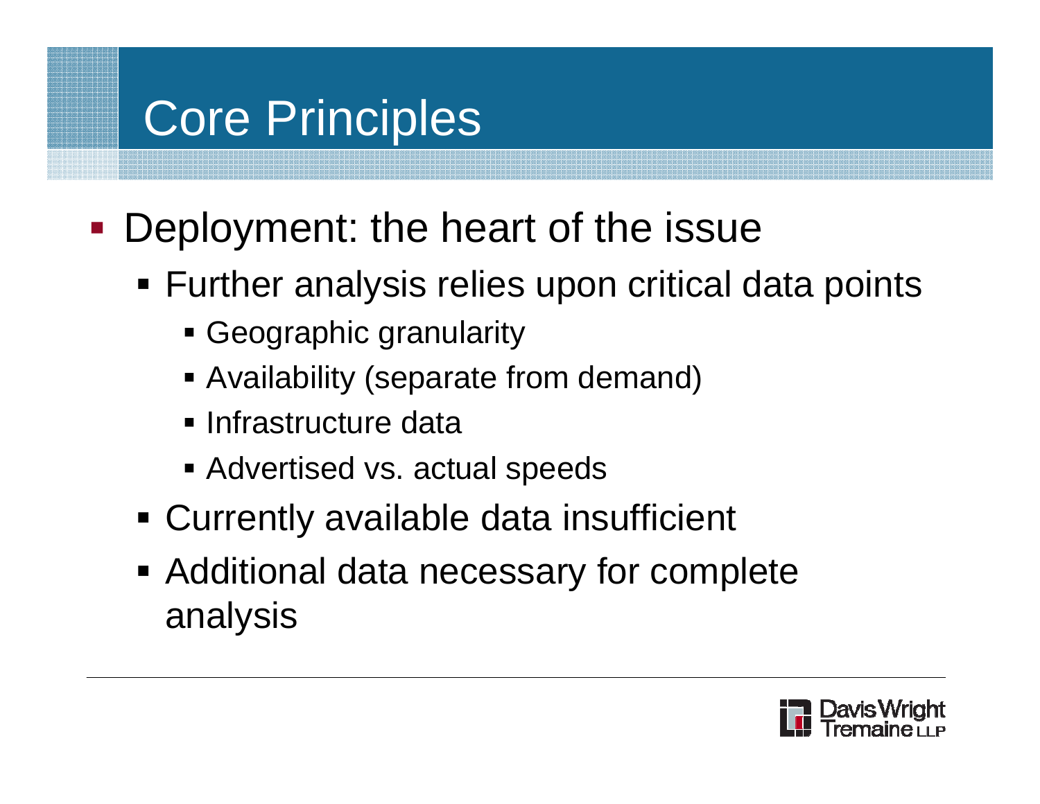- **Deployment: the heart of the issue** 
	- Further analysis relies upon critical data points
		- Geographic granularity
		- Availability (separate from demand)
		- **E** Infrastructure data
		- Advertised vs. actual speeds
	- Currently available data insufficient
	- **Additional data necessary for complete** analysis

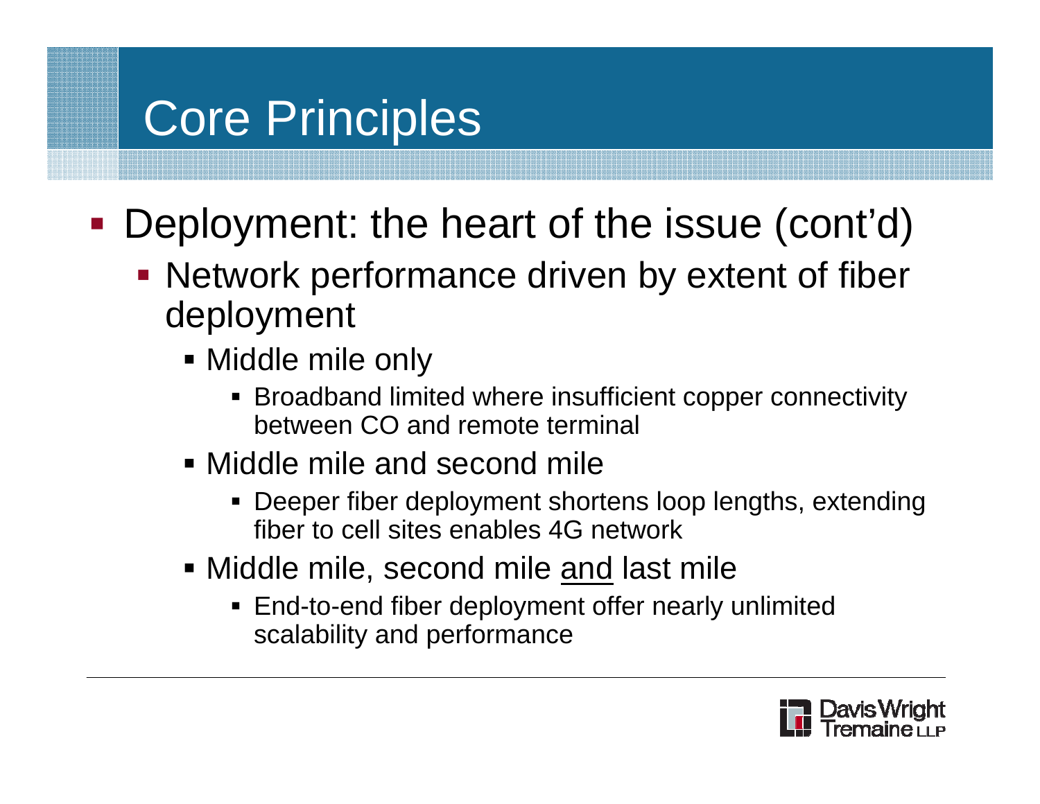- $\mathcal{L}_{\mathcal{A}}$ **Deployment: the heart of the issue (cont'd)** 
	- **Network performance driven by extent of fiber** deployment
		- Middle mile only
			- Broadband limited where insufficient copper connectivity between CO and remote terminal
		- Middle mile and second mile
			- Deeper fiber deployment shortens loop lengths, extending fiber to cell sites enables 4G network
		- Middle mile, second mile <u>and</u> last mile
			- **End-to-end fiber deployment offer nearly unlimited** scalability and performance

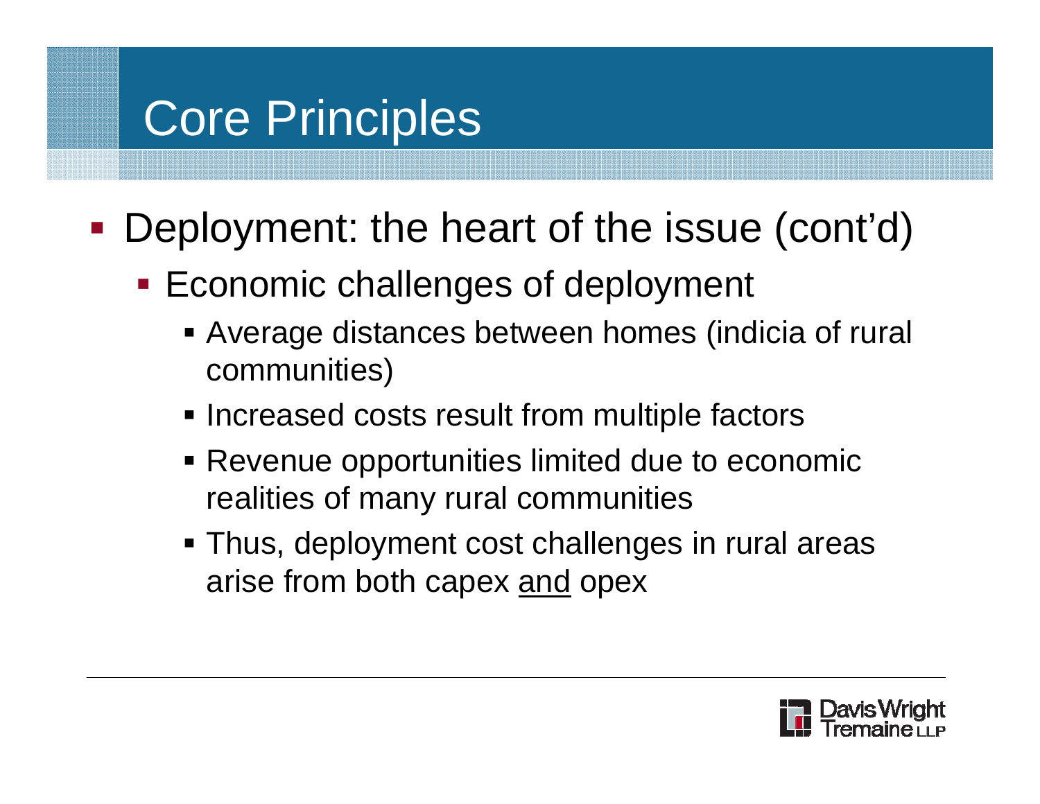- **Deployment: the heart of the issue (cont'd)** 
	- **Economic challenges of deployment** 
		- Average distances between homes (indicia of rural communities)
		- **Increased costs result from multiple factors**
		- Revenue opportunities limited due to economic realities of many rural communities
		- Thus, deployment cost challenges in rural areas arise from both capex and opex

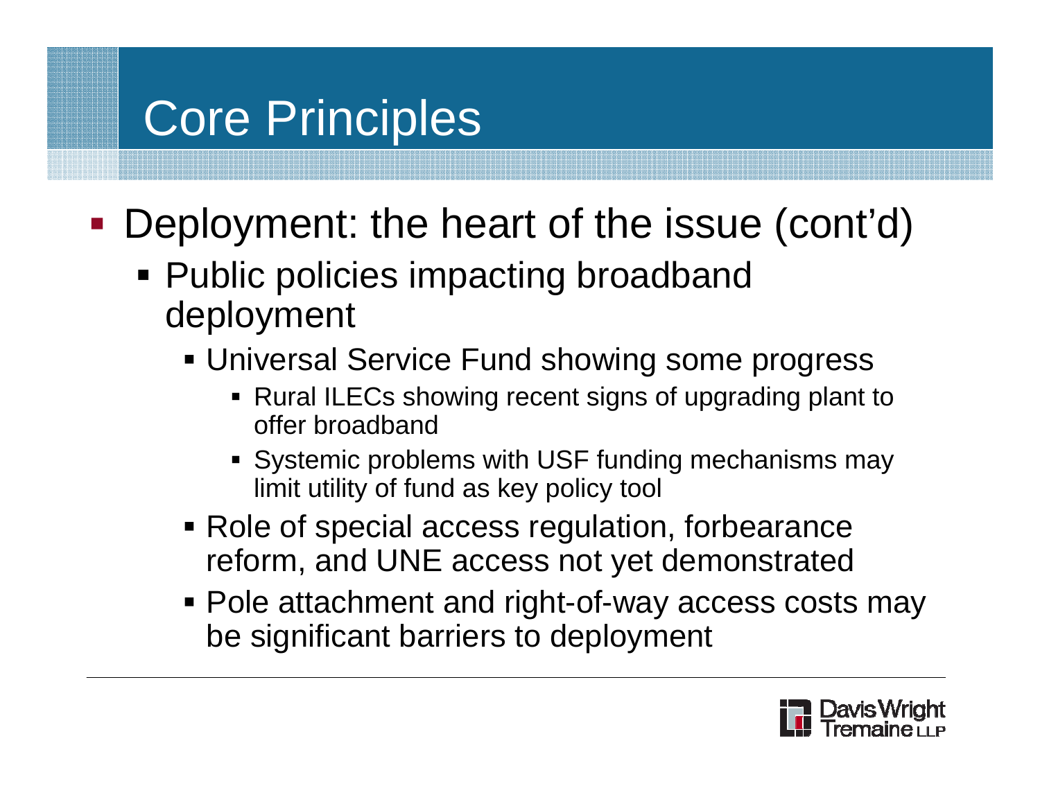- $\mathcal{L}_{\mathcal{A}}$ **Deployment: the heart of the issue (cont'd)** 
	- Public policies impacting broadband deployment
		- Universal Service Fund showing some progress
			- Rural ILECs showing recent signs of upgrading plant to offer broadband
			- Systemic problems with USF funding mechanisms may limit utility of fund as key policy tool
		- Role of special access regulation, forbearance reform, and UNE access not yet demonstrated
		- **Pole attachment and right-of-way access costs may** be significant barriers to deployment

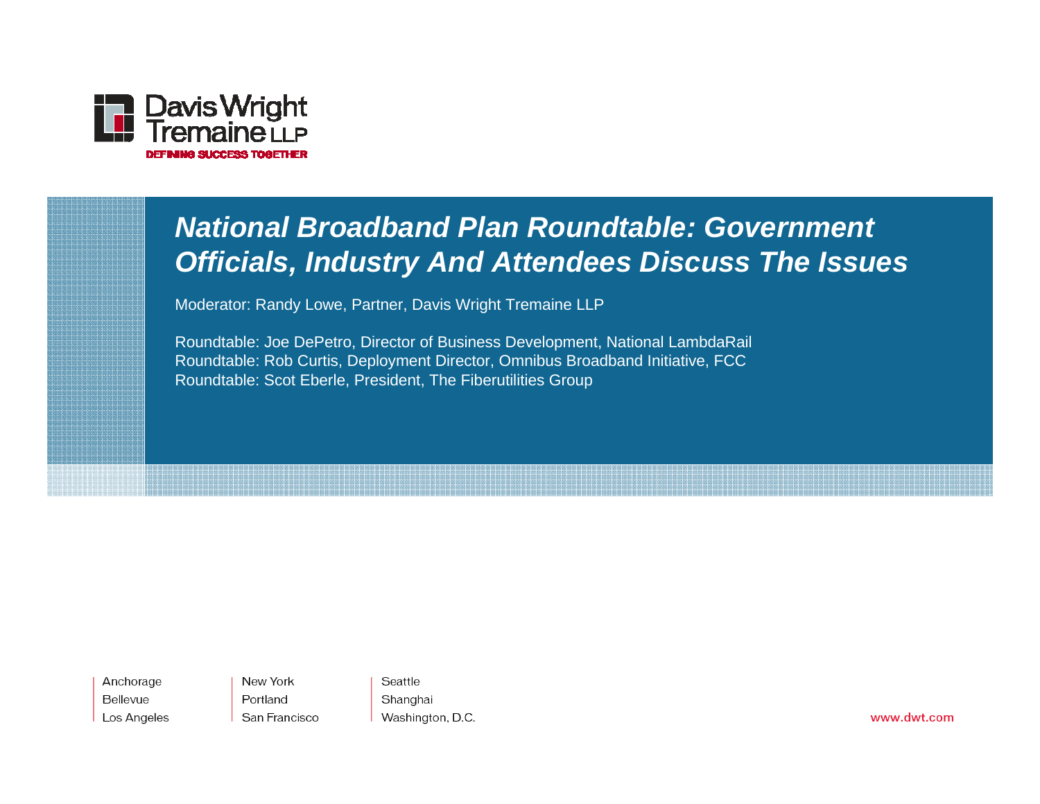

#### *National Broadband Plan Roundtable: Government Officials, Industry And Attendees Discuss The Issues*

Moderator: Randy Lowe, Partner, Davis Wright Tremaine LLP

Roundtable: Joe DePetro, Director of Business Development, National LambdaRail Roundtable: Rob Curtis, Deployment Director, Omnibus Broadband Initiative, FCC Roundtable: Scot Eberle, President, The Fiberutilities Group

Anchorage Bellevue Los Angeles New York Portland San Francisco

Seattle Shanghai Washington, D.C.

www.dwt.com